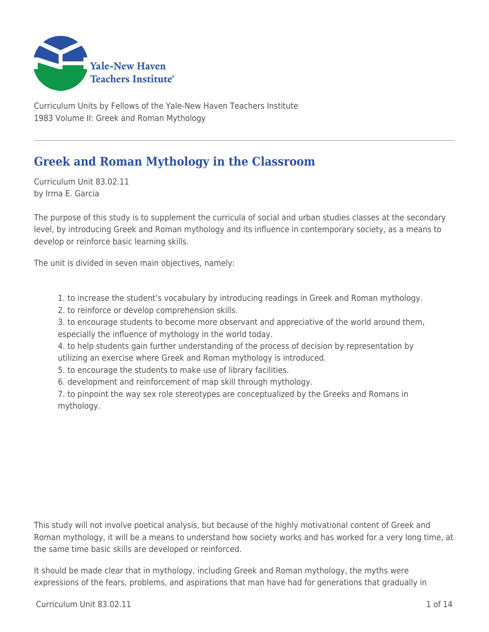

Curriculum Units by Fellows of the Yale-New Haven Teachers Institute 1983 Volume II: Greek and Roman Mythology

# **Greek and Roman Mythology in the Classroom**

Curriculum Unit 83.02.11 by Irma E. Garcia

The purpose of this study is to supplement the curricula of social and urban studies classes at the secondary level, by introducing Greek and Roman mythology and its influence in contemporary society, as a means to develop or reinforce basic learning skills.

The unit is divided in seven main objectives, namely:

1. to increase the student's vocabulary by introducing readings in Greek and Roman mythology.

2. to reinforce or develop comprehension skills.

3. to encourage students to become more observant and appreciative of the world around them, especially the influence of mythology in the world today.

4. to help students gain further understanding of the process of decision by representation by utilizing an exercise where Greek and Roman mythology is introduced.

5. to encourage the students to make use of library facilities.

6. development and reinforcement of map skill through mythology.

7. to pinpoint the way sex role stereotypes are conceptualized by the Greeks and Romans in mythology.

This study will not involve poetical analysis, but because of the highly motivational content of Greek and Roman mythology, it will be a means to understand how society works and has worked for a very long time, at the same time basic skills are developed or reinforced.

It should be made clear that in mythology, including Greek and Roman mythology, the myths were expressions of the fears, problems, and aspirations that man have had for generations that gradually in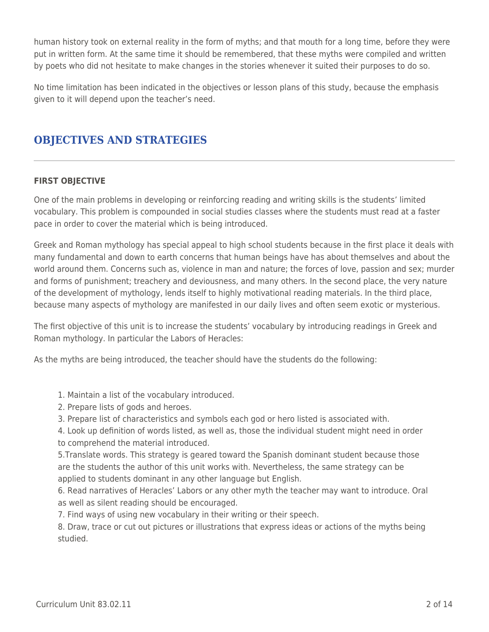human history took on external reality in the form of myths; and that mouth for a long time, before they were put in written form. At the same time it should be remembered, that these myths were compiled and written by poets who did not hesitate to make changes in the stories whenever it suited their purposes to do so.

No time limitation has been indicated in the objectives or lesson plans of this study, because the emphasis given to it will depend upon the teacher's need.

## **OBJECTIVES AND STRATEGIES**

### **FIRST OBJECTIVE**

One of the main problems in developing or reinforcing reading and writing skills is the students' limited vocabulary. This problem is compounded in social studies classes where the students must read at a faster pace in order to cover the material which is being introduced.

Greek and Roman mythology has special appeal to high school students because in the first place it deals with many fundamental and down to earth concerns that human beings have has about themselves and about the world around them. Concerns such as, violence in man and nature; the forces of love, passion and sex; murder and forms of punishment; treachery and deviousness, and many others. In the second place, the very nature of the development of mythology, lends itself to highly motivational reading materials. In the third place, because many aspects of mythology are manifested in our daily lives and often seem exotic or mysterious.

The first objective of this unit is to increase the students' vocabulary by introducing readings in Greek and Roman mythology. In particular the Labors of Heracles:

As the myths are being introduced, the teacher should have the students do the following:

- 1. Maintain a list of the vocabulary introduced.
- 2. Prepare lists of gods and heroes.
- 3. Prepare list of characteristics and symbols each god or hero listed is associated with.

4. Look up definition of words listed, as well as, those the individual student might need in order to comprehend the material introduced.

5.Translate words. This strategy is geared toward the Spanish dominant student because those are the students the author of this unit works with. Nevertheless, the same strategy can be applied to students dominant in any other language but English.

6. Read narratives of Heracles' Labors or any other myth the teacher may want to introduce. Oral as well as silent reading should be encouraged.

7. Find ways of using new vocabulary in their writing or their speech.

8. Draw, trace or cut out pictures or illustrations that express ideas or actions of the myths being studied.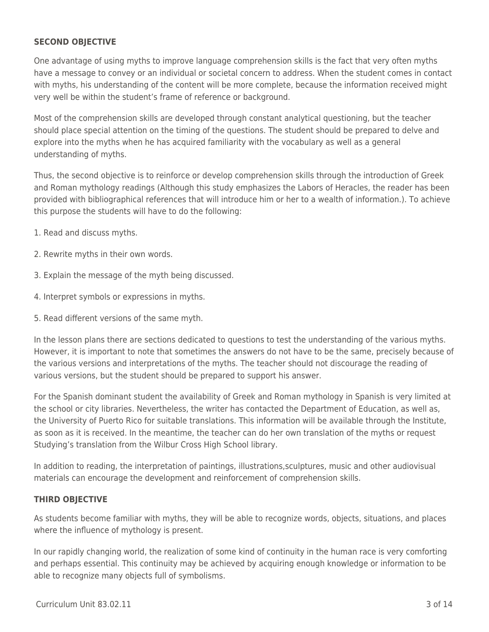#### **SECOND OBJECTIVE**

One advantage of using myths to improve language comprehension skills is the fact that very often myths have a message to convey or an individual or societal concern to address. When the student comes in contact with myths, his understanding of the content will be more complete, because the information received might very well be within the student's frame of reference or background.

Most of the comprehension skills are developed through constant analytical questioning, but the teacher should place special attention on the timing of the questions. The student should be prepared to delve and explore into the myths when he has acquired familiarity with the vocabulary as well as a general understanding of myths.

Thus, the second objective is to reinforce or develop comprehension skills through the introduction of Greek and Roman mythology readings (Although this study emphasizes the Labors of Heracles, the reader has been provided with bibliographical references that will introduce him or her to a wealth of information.). To achieve this purpose the students will have to do the following:

- 1. Read and discuss myths.
- 2. Rewrite myths in their own words.
- 3. Explain the message of the myth being discussed.
- 4. Interpret symbols or expressions in myths.
- 5. Read different versions of the same myth.

In the lesson plans there are sections dedicated to questions to test the understanding of the various myths. However, it is important to note that sometimes the answers do not have to be the same, precisely because of the various versions and interpretations of the myths. The teacher should not discourage the reading of various versions, but the student should be prepared to support his answer.

For the Spanish dominant student the availability of Greek and Roman mythology in Spanish is very limited at the school or city libraries. Nevertheless, the writer has contacted the Department of Education, as well as, the University of Puerto Rico for suitable translations. This information will be available through the Institute, as soon as it is received. In the meantime, the teacher can do her own translation of the myths or request Studying's translation from the Wilbur Cross High School library.

In addition to reading, the interpretation of paintings, illustrations,sculptures, music and other audiovisual materials can encourage the development and reinforcement of comprehension skills.

#### **THIRD OBJECTIVE**

As students become familiar with myths, they will be able to recognize words, objects, situations, and places where the influence of mythology is present.

In our rapidly changing world, the realization of some kind of continuity in the human race is very comforting and perhaps essential. This continuity may be achieved by acquiring enough knowledge or information to be able to recognize many objects full of symbolisms.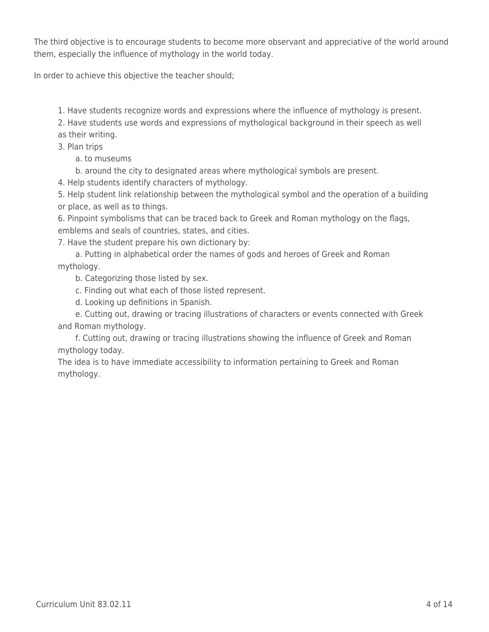The third objective is to encourage students to become more observant and appreciative of the world around them, especially the influence of mythology in the world today.

In order to achieve this objective the teacher should;

1. Have students recognize words and expressions where the influence of mythology is present.

2. Have students use words and expressions of mythological background in their speech as well as their writing.

3. Plan trips

a. to museums

b. around the city to designated areas where mythological symbols are present.

4. Help students identify characters of mythology.

5. Help student link relationship between the mythological symbol and the operation of a building or place, as well as to things.

6. Pinpoint symbolisms that can be traced back to Greek and Roman mythology on the flags, emblems and seals of countries, states, and cities.

7. Have the student prepare his own dictionary by:

a. Putting in alphabetical order the names of gods and heroes of Greek and Roman mythology.

b. Categorizing those listed by sex.

\_\_\_\_ c. Finding out what each of those listed represent.

d. Looking up definitions in Spanish.

e. Cutting out, drawing or tracing illustrations of characters or events connected with Greek and Roman mythology.

f. Cutting out, drawing or tracing illustrations showing the influence of Greek and Roman mythology today.

The idea is to have immediate accessibility to information pertaining to Greek and Roman mythology.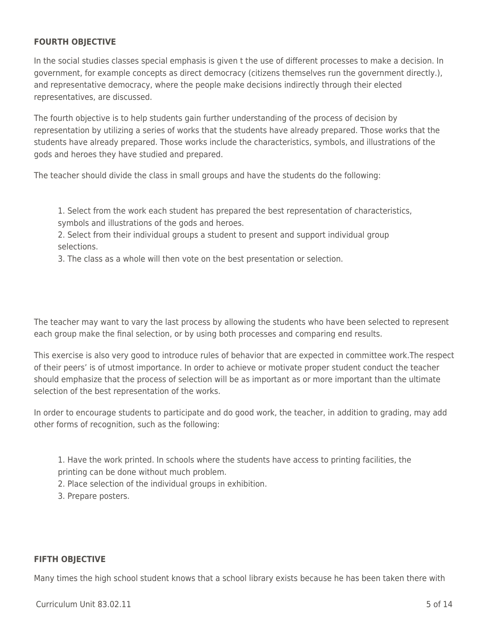#### **FOURTH OBJECTIVE**

In the social studies classes special emphasis is given t the use of different processes to make a decision. In government, for example concepts as direct democracy (citizens themselves run the government directly.), and representative democracy, where the people make decisions indirectly through their elected representatives, are discussed.

The fourth objective is to help students gain further understanding of the process of decision by representation by utilizing a series of works that the students have already prepared. Those works that the students have already prepared. Those works include the characteristics, symbols, and illustrations of the gods and heroes they have studied and prepared.

The teacher should divide the class in small groups and have the students do the following:

1. Select from the work each student has prepared the best representation of characteristics, symbols and illustrations of the gods and heroes.

2. Select from their individual groups a student to present and support individual group selections.

3. The class as a whole will then vote on the best presentation or selection.

The teacher may want to vary the last process by allowing the students who have been selected to represent each group make the final selection, or by using both processes and comparing end results.

This exercise is also very good to introduce rules of behavior that are expected in committee work.The respect of their peers' is of utmost importance. In order to achieve or motivate proper student conduct the teacher should emphasize that the process of selection will be as important as or more important than the ultimate selection of the best representation of the works.

In order to encourage students to participate and do good work, the teacher, in addition to grading, may add other forms of recognition, such as the following:

- 1. Have the work printed. In schools where the students have access to printing facilities, the
- printing can be done without much problem.
- 2. Place selection of the individual groups in exhibition.
- 3. Prepare posters.

#### **FIFTH OBJECTIVE**

Many times the high school student knows that a school library exists because he has been taken there with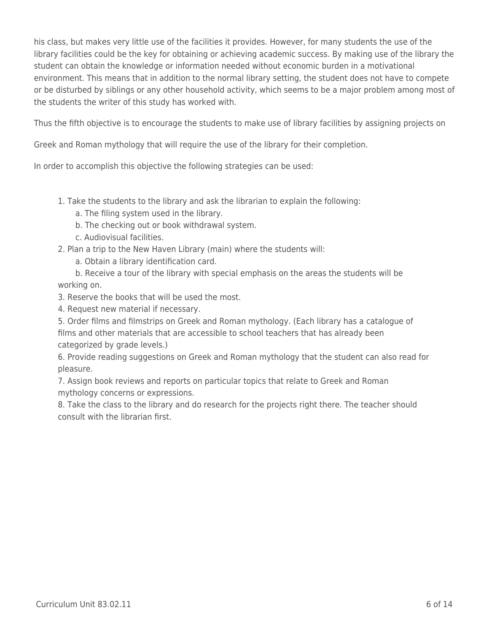his class, but makes very little use of the facilities it provides. However, for many students the use of the library facilities could be the key for obtaining or achieving academic success. By making use of the library the student can obtain the knowledge or information needed without economic burden in a motivational environment. This means that in addition to the normal library setting, the student does not have to compete or be disturbed by siblings or any other household activity, which seems to be a major problem among most of the students the writer of this study has worked with.

Thus the fifth objective is to encourage the students to make use of library facilities by assigning projects on

Greek and Roman mythology that will require the use of the library for their completion.

In order to accomplish this objective the following strategies can be used:

- 1. Take the students to the library and ask the librarian to explain the following:
	- a. The filing system used in the library.
	- b. The checking out or book withdrawal system.
	- \_\_\_\_ c. Audiovisual facilities.
- 2. Plan a trip to the New Haven Library (main) where the students will:
	- a. Obtain a library identification card.

b. Receive a tour of the library with special emphasis on the areas the students will be working on.

3. Reserve the books that will be used the most.

4. Request new material if necessary.

5. Order films and filmstrips on Greek and Roman mythology. (Each library has a catalogue of films and other materials that are accessible to school teachers that has already been categorized by grade levels.)

6. Provide reading suggestions on Greek and Roman mythology that the student can also read for pleasure.

7. Assign book reviews and reports on particular topics that relate to Greek and Roman mythology concerns or expressions.

8. Take the class to the library and do research for the projects right there. The teacher should consult with the librarian first.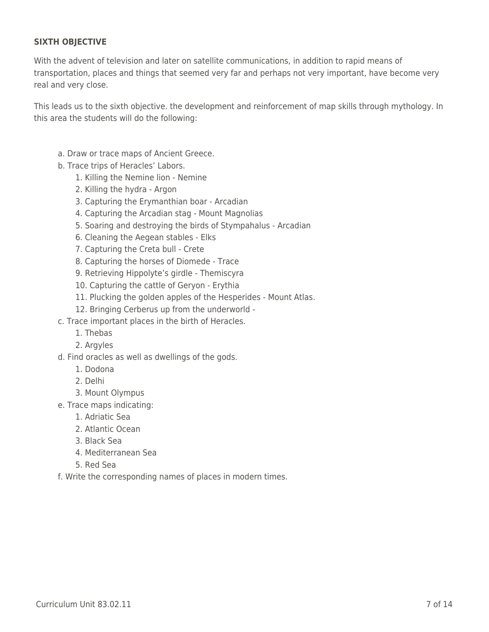### **SIXTH OBJECTIVE**

With the advent of television and later on satellite communications, in addition to rapid means of transportation, places and things that seemed very far and perhaps not very important, have become very real and very close.

This leads us to the sixth objective. the development and reinforcement of map skills through mythology. In this area the students will do the following:

- a. Draw or trace maps of Ancient Greece.
- b. Trace trips of Heracles' Labors.
	- 1. Killing the Nemine lion Nemine
	- \_\_\_\_ 2. Killing the hydra Argon
	- 3. Capturing the Erymanthian boar Arcadian
	- 4. Capturing the Arcadian stag Mount Magnolias
	- 5. Soaring and destroying the birds of Stympahalus Arcadian
	- 6. Cleaning the Aegean stables Elks
	- \_\_\_\_ 7. Capturing the Creta bull Crete
	- 8. Capturing the horses of Diomede Trace
	- 9. Retrieving Hippolyte's girdle Themiscyra
	- 10. Capturing the cattle of Geryon Erythia
	- 11. Plucking the golden apples of the Hesperides Mount Atlas.
	- 12. Bringing Cerberus up from the underworld -
- c. Trace important places in the birth of Heracles.
	- \_\_\_\_ 1. Thebas
	- 2. Argyles
- d. Find oracles as well as dwellings of the gods.
	- \_\_\_\_ 1. Dodona
	- \_\_\_\_ 2. Delhi
	- 3. Mount Olympus
- e. Trace maps indicating:
	- \_\_\_\_ 1. Adriatic Sea
	- 2. Atlantic Ocean
	- \_\_\_\_ 3. Black Sea
	- \_\_\_\_ 4. Mediterranean Sea
	- \_\_\_\_ 5. Red Sea
- f. Write the corresponding names of places in modern times.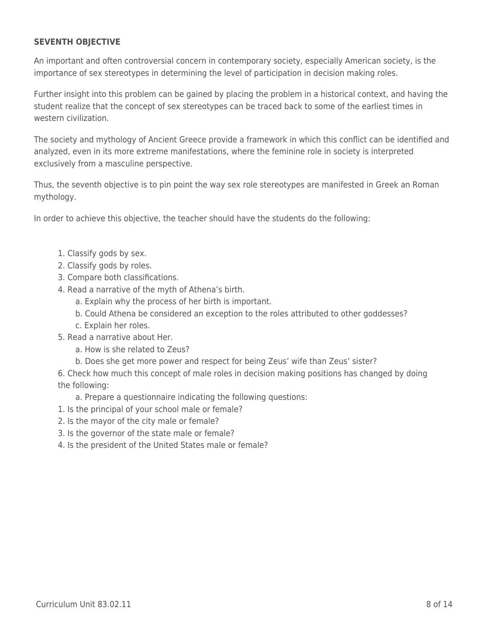#### **SEVENTH OBJECTIVE**

An important and often controversial concern in contemporary society, especially American society, is the importance of sex stereotypes in determining the level of participation in decision making roles.

Further insight into this problem can be gained by placing the problem in a historical context, and having the student realize that the concept of sex stereotypes can be traced back to some of the earliest times in western civilization.

The society and mythology of Ancient Greece provide a framework in which this conflict can be identified and analyzed, even in its more extreme manifestations, where the feminine role in society is interpreted exclusively from a masculine perspective.

Thus, the seventh objective is to pin point the way sex role stereotypes are manifested in Greek an Roman mythology.

In order to achieve this objective, the teacher should have the students do the following:

- 1. Classify gods by sex.
- 2. Classify gods by roles.
- 3. Compare both classifications.
- 4. Read a narrative of the myth of Athena's birth.
	- a. Explain why the process of her birth is important.
	- b. Could Athena be considered an exception to the roles attributed to other goddesses?
	- c. Explain her roles.
- 5. Read a narrative about Her.
	- a. How is she related to Zeus?
	- b. Does she get more power and respect for being Zeus' wife than Zeus' sister?

6. Check how much this concept of male roles in decision making positions has changed by doing the following:

a. Prepare a questionnaire indicating the following questions:

- 1. Is the principal of your school male or female?
- 2. Is the mayor of the city male or female?
- 3. Is the governor of the state male or female?
- 4. Is the president of the United States male or female?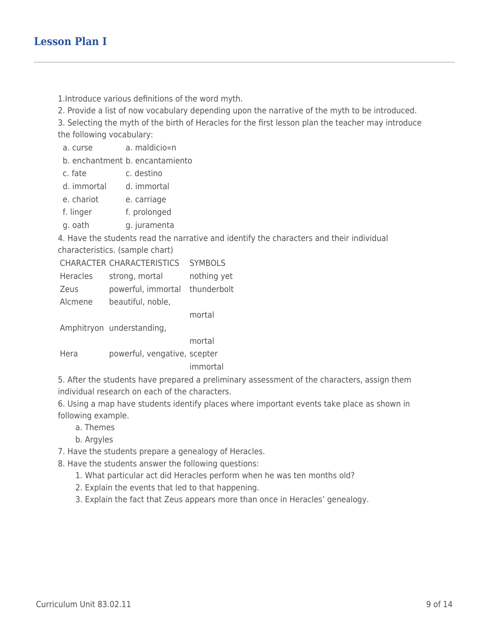1.Introduce various definitions of the word myth.

2. Provide a list of now vocabulary depending upon the narrative of the myth to be introduced.

3. Selecting the myth of the birth of Heracles for the first lesson plan the teacher may introduce the following vocabulary:

a. curse a. maldicio«n

b. enchantment b. encantamiento

- c. fate c. destino
- d. immortal d. immortal
- e. chariot e. carriage
- f. linger f. prolonged
- g. oath g. juramenta

4. Have the students read the narrative and identify the characters and their individual characteristics. (sample chart)

CHARACTER CHARACTERISTICS SYMBOLS

- Heracles strong, mortal nothing yet
- Zeus powerful, immortal thunderbolt
- Alcmene beautiful, noble,

mortal

Amphitryon understanding,

mortal Hera powerful, vengative, scepter

immortal

5. After the students have prepared a preliminary assessment of the characters, assign them individual research on each of the characters.

6. Using a map have students identify places where important events take place as shown in following example.

- \_\_\_\_ a. Themes
- b. Argyles

7. Have the students prepare a genealogy of Heracles.

8. Have the students answer the following questions:

- 1. What particular act did Heracles perform when he was ten months old?
- 2. Explain the events that led to that happening.
- 3. Explain the fact that Zeus appears more than once in Heracles' genealogy.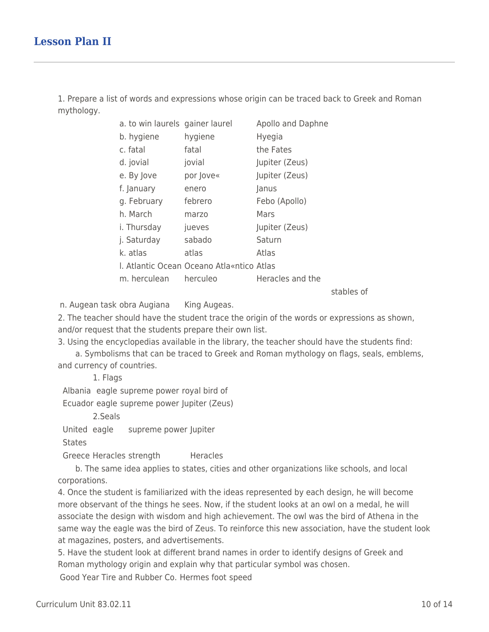1. Prepare a list of words and expressions whose origin can be traced back to Greek and Roman mythology.

| a. to win laurels gainer laurel |                                           | Apollo and Daphne |    |
|---------------------------------|-------------------------------------------|-------------------|----|
| b. hygiene                      | hygiene                                   | <b>Hyegia</b>     |    |
| c. fatal                        | fatal                                     | the Fates         |    |
| d. jovial                       | jovial                                    | Jupiter (Zeus)    |    |
| e. By Jove                      | por Jove«                                 | Jupiter (Zeus)    |    |
| f. January                      | enero                                     | Janus             |    |
| g. February                     | febrero                                   | Febo (Apollo)     |    |
| h. March                        | marzo                                     | Mars              |    |
| i. Thursday                     | jueves                                    | Jupiter (Zeus)    |    |
| j. Saturday                     | sabado                                    | Saturn            |    |
| k. atlas                        | atlas                                     | Atlas             |    |
|                                 | I. Atlantic Ocean Oceano Atla«ntico Atlas |                   |    |
| m. herculean herculeo           |                                           | Heracles and the  |    |
|                                 |                                           |                   | -+ |

stables of

n. Augean task obra Augiana King Augeas.

2. The teacher should have the student trace the origin of the words or expressions as shown, and/or request that the students prepare their own list.

3. Using the encyclopedias available in the library, the teacher should have the students find:

a. Symbolisms that can be traced to Greek and Roman mythology on flags, seals, emblems, and currency of countries.

1. Flags

Albania eagle supreme power royal bird of

Ecuador eagle supreme power Jupiter (Zeus)

\_\_\_\_ \_\_\_\_ 2.Seals

United eagle supreme power Jupiter

**States** 

Greece Heracles strength Heracles

\_\_\_\_ b. The same idea applies to states, cities and other organizations like schools, and local corporations.

4. Once the student is familiarized with the ideas represented by each design, he will become more observant of the things he sees. Now, if the student looks at an owl on a medal, he will associate the design with wisdom and high achievement. The owl was the bird of Athena in the same way the eagle was the bird of Zeus. To reinforce this new association, have the student look at magazines, posters, and advertisements.

5. Have the student look at different brand names in order to identify designs of Greek and Roman mythology origin and explain why that particular symbol was chosen.

Good Year Tire and Rubber Co. Hermes foot speed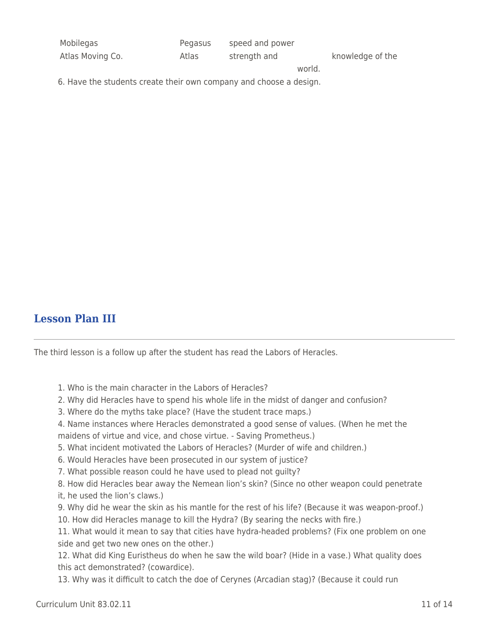| Mobilegas        | Pegasus | speed and power |        |                  |
|------------------|---------|-----------------|--------|------------------|
| Atlas Moving Co. | Atlas   | strength and    |        | knowledge of the |
|                  |         |                 | world. |                  |

6. Have the students create their own company and choose a design.

### **Lesson Plan III**

The third lesson is a follow up after the student has read the Labors of Heracles.

- 1. Who is the main character in the Labors of Heracles?
- 2. Why did Heracles have to spend his whole life in the midst of danger and confusion?
- 3. Where do the myths take place? (Have the student trace maps.)
- 4. Name instances where Heracles demonstrated a good sense of values. (When he met the maidens of virtue and vice, and chose virtue. - Saving Prometheus.)
- 5. What incident motivated the Labors of Heracles? (Murder of wife and children.)
- 6. Would Heracles have been prosecuted in our system of justice?
- 7. What possible reason could he have used to plead not guilty?
- 8. How did Heracles bear away the Nemean lion's skin? (Since no other weapon could penetrate it, he used the lion's claws.)
- 9. Why did he wear the skin as his mantle for the rest of his life? (Because it was weapon-proof.) 10. How did Heracles manage to kill the Hydra? (By searing the necks with fire.)
- 11. What would it mean to say that cities have hydra-headed problems? (Fix one problem on one side and get two new ones on the other.)

12. What did King Euristheus do when he saw the wild boar? (Hide in a vase.) What quality does this act demonstrated? (cowardice).

13. Why was it difficult to catch the doe of Cerynes (Arcadian stag)? (Because it could run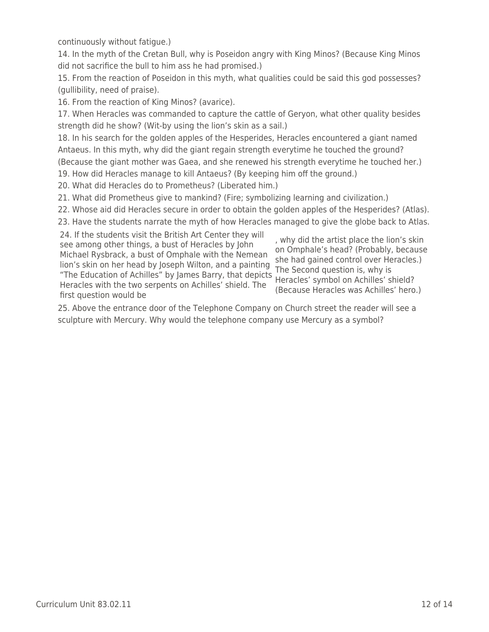continuously without fatigue.)

14. In the myth of the Cretan Bull, why is Poseidon angry with King Minos? (Because King Minos did not sacrifice the bull to him ass he had promised.)

15. From the reaction of Poseidon in this myth, what qualities could be said this god possesses? (gullibility, need of praise).

16. From the reaction of King Minos? (avarice).

17. When Heracles was commanded to capture the cattle of Geryon, what other quality besides strength did he show? (Wit-by using the lion's skin as a sail.)

18. In his search for the golden apples of the Hesperides, Heracles encountered a giant named Antaeus. In this myth, why did the giant regain strength everytime he touched the ground? (Because the giant mother was Gaea, and she renewed his strength everytime he touched her.)

19. How did Heracles manage to kill Antaeus? (By keeping him off the ground.)

20. What did Heracles do to Prometheus? (Liberated him.)

21. What did Prometheus give to mankind? (Fire; symbolizing learning and civilization.)

22. Whose aid did Heracles secure in order to obtain the golden apples of the Hesperides? (Atlas).

23. Have the students narrate the myth of how Heracles managed to give the globe back to Atlas.

24. If the students visit the British Art Center they will see among other things, a bust of Heracles by John Michael Rysbrack, a bust of Omphale with the Nemean lion's skin on her head by Joseph Wilton, and a painting "The Education of Achilles" by James Barry, that depicts Heracles with the two serpents on Achilles' shield. The first question would be

, why did the artist place the lion's skin on Omphale's head? (Probably, because she had gained control over Heracles.) The Second question is, why is Heracles' symbol on Achilles' shield? (Because Heracles was Achilles' hero.)

25. Above the entrance door of the Telephone Company on Church street the reader will see a sculpture with Mercury. Why would the telephone company use Mercury as a symbol?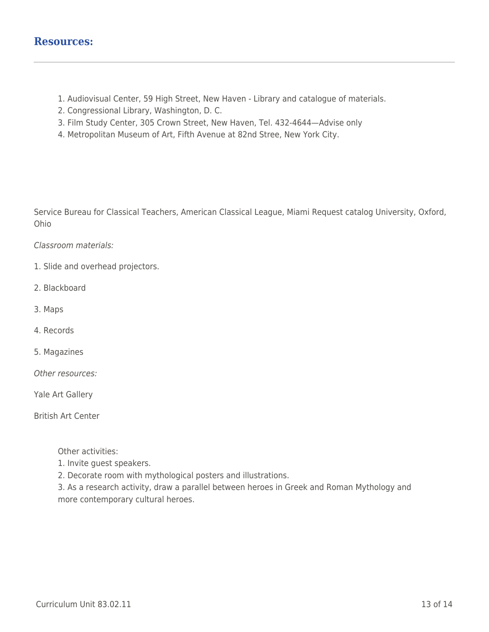- 1. Audiovisual Center, 59 High Street, New Haven Library and catalogue of materials.
- 2. Congressional Library, Washington, D. C.
- 3. Film Study Center, 305 Crown Street, New Haven, Tel. 432-4644—Advise only
- 4. Metropolitan Museum of Art, Fifth Avenue at 82nd Stree, New York City.

Service Bureau for Classical Teachers, American Classical League, Miami Request catalog University, Oxford, Ohio

Classroom materials:

- 1. Slide and overhead projectors.
- 2. Blackboard
- 3. Maps
- 4. Records
- 5. Magazines
- Other resources:
- Yale Art Gallery

British Art Center

Other activities:

- 1. Invite guest speakers.
- 2. Decorate room with mythological posters and illustrations.

3. As a research activity, draw a parallel between heroes in Greek and Roman Mythology and more contemporary cultural heroes.